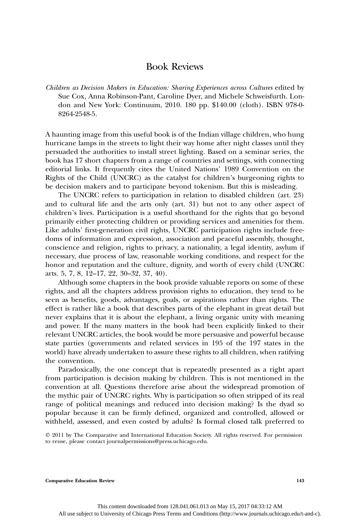## Book Reviews

*Children as Decision Makers in Education: Sharing Experiences across Cultures* edited by Sue Cox, Anna Robinson-Pant, Caroline Dyer, and Michele Schweisfurth. London and New York: Continuum, 2010. 180 pp. \$140.00 (cloth). ISBN 978-0- 8264-2548-5.

A haunting image from this useful book is of the Indian village children, who hung hurricane lamps in the streets to light their way home after night classes until they persuaded the authorities to install street lighting. Based on a seminar series, the book has 17 short chapters from a range of countries and settings, with connecting editorial links. It frequently cites the United Nations' 1989 Convention on the Rights of the Child (UNCRC) as the catalyst for children's burgeoning rights to be decision makers and to participate beyond tokenism. But this is misleading.

The UNCRC refers to participation in relation to disabled children (art. 23) and to cultural life and the arts only (art. 31) but not to any other aspect of children's lives. Participation is a useful shorthand for the rights that go beyond primarily either protecting children or providing services and amenities for them. Like adults' first-generation civil rights, UNCRC participation rights include freedoms of information and expression, association and peaceful assembly, thought, conscience and religion, rights to privacy, a nationality, a legal identity, asylum if necessary, due process of law, reasonable working conditions, and respect for the honor and reputation and the culture, dignity, and worth of every child (UNCRC arts. 5, 7, 8, 12–17, 22, 30–32, 37, 40).

Although some chapters in the book provide valuable reports on some of these rights, and all the chapters address provision rights to education, they tend to be seen as benefits, goods, advantages, goals, or aspirations rather than rights. The effect is rather like a book that describes parts of the elephant in great detail but never explains that it is about the elephant, a living organic unity with meaning and power. If the many matters in the book had been explicitly linked to their relevant UNCRC articles, the book would be more persuasive and powerful because state parties (governments and related services in 195 of the 197 states in the world) have already undertaken to assure these rights to all children, when ratifying the convention.

Paradoxically, the one concept that is repeatedly presented as a right apart from participation is decision making by children. This is not mentioned in the convention at all. Questions therefore arise about the widespread promotion of the mythic pair of UNCRC rights. Why is participation so often stripped of its real range of political meanings and reduced into decision making? Is the dyad so popular because it can be firmly defined, organized and controlled, allowed or withheld, assessed, and even costed by adults? Is formal closed talk preferred to

 2011 by The Comparative and International Education Society. All rights reserved. For permission to reuse, please contact journalpermissions@press.uchicago.edu.

**Comparative Education Review 143**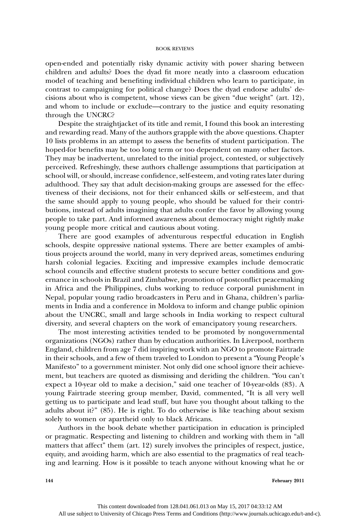## BOOK REVIEWS

open-ended and potentially risky dynamic activity with power sharing between children and adults? Does the dyad fit more neatly into a classroom education model of teaching and benefiting individual children who learn to participate, in contrast to campaigning for political change? Does the dyad endorse adults' decisions about who is competent, whose views can be given "due weight" (art. 12), and whom to include or exclude—contrary to the justice and equity resonating through the UNCRC?

Despite the straightjacket of its title and remit, I found this book an interesting and rewarding read. Many of the authors grapple with the above questions. Chapter 10 lists problems in an attempt to assess the benefits of student participation. The hoped-for benefits may be too long term or too dependent on many other factors. They may be inadvertent, unrelated to the initial project, contested, or subjectively perceived. Refreshingly, these authors challenge assumptions that participation at school will, or should, increase confidence, self-esteem, and voting rates later during adulthood. They say that adult decision-making groups are assessed for the effectiveness of their decisions, not for their enhanced skills or self-esteem, and that the same should apply to young people, who should be valued for their contributions, instead of adults imagining that adults confer the favor by allowing young people to take part. And informed awareness about democracy might rightly make young people more critical and cautious about voting.

There are good examples of adventurous respectful education in English schools, despite oppressive national systems. There are better examples of ambitious projects around the world, many in very deprived areas, sometimes enduring harsh colonial legacies. Exciting and impressive examples include democratic school councils and effective student protests to secure better conditions and governance in schools in Brazil and Zimbabwe, promotion of postconflict peacemaking in Africa and the Philippines, clubs working to reduce corporal punishment in Nepal, popular young radio broadcasters in Peru and in Ghana, children's parliaments in India and a conference in Moldova to inform and change public opinion about the UNCRC, small and large schools in India working to respect cultural diversity, and several chapters on the work of emancipatory young researchers.

The most interesting activities tended to be promoted by nongovernmental organizations (NGOs) rather than by education authorities. In Liverpool, northern England, children from age 7 did inspiring work with an NGO to promote Fairtrade in their schools, and a few of them traveled to London to present a "Young People's Manifesto" to a government minister. Not only did one school ignore their achievement, but teachers are quoted as dismissing and deriding the children. "You can't expect a 10-year old to make a decision," said one teacher of 10-year-olds (83). A young Fairtrade steering group member, David, commented, "It is all very well getting us to participate and lead stuff, but have you thought about talking to the adults about it?" (85). He is right. To do otherwise is like teaching about sexism solely to women or apartheid only to black Africans.

Authors in the book debate whether participation in education is principled or pragmatic. Respecting and listening to children and working with them in "all matters that affect" them (art. 12) surely involves the principles of respect, justice, equity, and avoiding harm, which are also essential to the pragmatics of real teaching and learning. How is it possible to teach anyone without knowing what he or